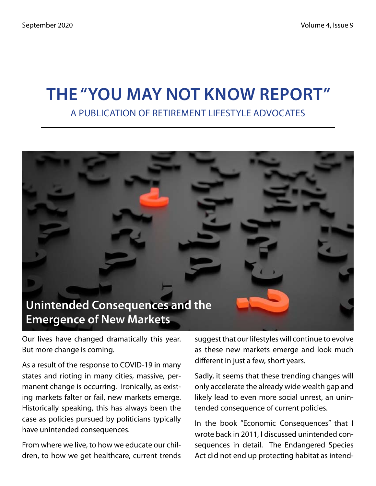## **The "You May Not Know Report"** A Publication of Retirement Lifestyle Advocates



Our lives have changed dramatically this year. But more change is coming.

As a result of the response to COVID-19 in many states and rioting in many cities, massive, permanent change is occurring. Ironically, as existing markets falter or fail, new markets emerge. Historically speaking, this has always been the case as policies pursued by politicians typically have unintended consequences.

From where we live, to how we educate our children, to how we get healthcare, current trends suggest that our lifestyles will continue to evolve as these new markets emerge and look much different in just a few, short years.

Sadly, it seems that these trending changes will only accelerate the already wide wealth gap and likely lead to even more social unrest, an unintended consequence of current policies.

In the book "Economic Consequences" that I wrote back in 2011, I discussed unintended consequences in detail. The Endangered Species Act did not end up protecting habitat as intend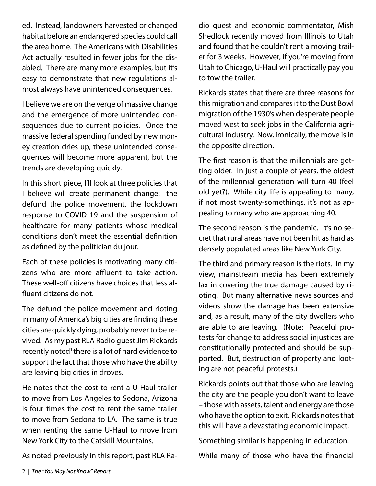ed. Instead, landowners harvested or changed habitat before an endangered species could call the area home. The Americans with Disabilities Act actually resulted in fewer jobs for the disabled. There are many more examples, but it's easy to demonstrate that new regulations almost always have unintended consequences.

I believe we are on the verge of massive change and the emergence of more unintended consequences due to current policies. Once the massive federal spending funded by new money creation dries up, these unintended consequences will become more apparent, but the trends are developing quickly.

In this short piece, I'll look at three policies that I believe will create permanent change: the defund the police movement, the lockdown response to COVID 19 and the suspension of healthcare for many patients whose medical conditions don't meet the essential definition as defined by the politician du jour.

Each of these policies is motivating many citizens who are more affluent to take action. These well-off citizens have choices that less affluent citizens do not.

The defund the police movement and rioting in many of America's big cities are finding these cities are quickly dying, probably never to be revived. As my past RLA Radio guest Jim Rickards recently noted<sup>1</sup> there is a lot of hard evidence to support the fact that those who have the ability are leaving big cities in droves.

He notes that the cost to rent a U-Haul trailer to move from Los Angeles to Sedona, Arizona is four times the cost to rent the same trailer to move from Sedona to LA. The same is true when renting the same U-Haul to move from New York City to the Catskill Mountains.

As noted previously in this report, past RLA Ra-

dio guest and economic commentator, Mish Shedlock recently moved from Illinois to Utah and found that he couldn't rent a moving trailer for 3 weeks. However, if you're moving from Utah to Chicago, U-Haul will practically pay you to tow the trailer.

Rickards states that there are three reasons for this migration and compares it to the Dust Bowl migration of the 1930's when desperate people moved west to seek jobs in the California agricultural industry. Now, ironically, the move is in the opposite direction.

The first reason is that the millennials are getting older. In just a couple of years, the oldest of the millennial generation will turn 40 (feel old yet?). While city life is appealing to many, if not most twenty-somethings, it's not as appealing to many who are approaching 40.

The second reason is the pandemic. It's no secret that rural areas have not been hit as hard as densely populated areas like New York City.

The third and primary reason is the riots. In my view, mainstream media has been extremely lax in covering the true damage caused by rioting. But many alternative news sources and videos show the damage has been extensive and, as a result, many of the city dwellers who are able to are leaving. (Note: Peaceful protests for change to address social injustices are constitutionally protected and should be supported. But, destruction of property and looting are not peaceful protests.)

Rickards points out that those who are leaving the city are the people you don't want to leave – those with assets, talent and energy are those who have the option to exit. Rickards notes that this will have a devastating economic impact.

Something similar is happening in education.

While many of those who have the financial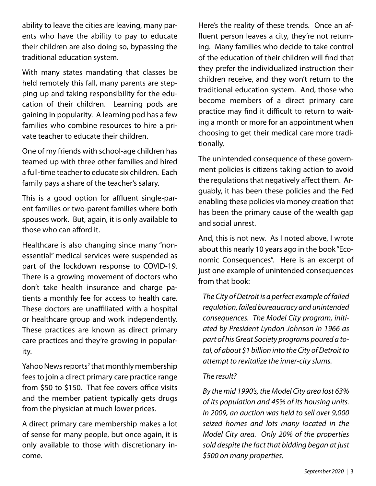ability to leave the cities are leaving, many parents who have the ability to pay to educate their children are also doing so, bypassing the traditional education system.

With many states mandating that classes be held remotely this fall, many parents are stepping up and taking responsibility for the education of their children. Learning pods are gaining in popularity. A learning pod has a few families who combine resources to hire a private teacher to educate their children.

One of my friends with school-age children has teamed up with three other families and hired a full-time teacher to educate six children. Each family pays a share of the teacher's salary.

This is a good option for affluent single-parent families or two-parent families where both spouses work. But, again, it is only available to those who can afford it.

Healthcare is also changing since many "nonessential" medical services were suspended as part of the lockdown response to COVID-19. There is a growing movement of doctors who don't take health insurance and charge patients a monthly fee for access to health care. These doctors are unaffiliated with a hospital or healthcare group and work independently. These practices are known as direct primary care practices and they're growing in popularity.

Yahoo News reports<sup>2</sup> that monthly membership fees to join a direct primary care practice range from \$50 to \$150. That fee covers office visits and the member patient typically gets drugs from the physician at much lower prices.

A direct primary care membership makes a lot of sense for many people, but once again, it is only available to those with discretionary income.

Here's the reality of these trends. Once an affluent person leaves a city, they're not returning. Many families who decide to take control of the education of their children will find that they prefer the individualized instruction their children receive, and they won't return to the traditional education system. And, those who become members of a direct primary care practice may find it difficult to return to waiting a month or more for an appointment when choosing to get their medical care more traditionally.

The unintended consequence of these government policies is citizens taking action to avoid the regulations that negatively affect them. Arguably, it has been these policies and the Fed enabling these policies via money creation that has been the primary cause of the wealth gap and social unrest.

And, this is not new. As I noted above, I wrote about this nearly 10 years ago in the book "Economic Consequences". Here is an excerpt of just one example of unintended consequences from that book:

*The City of Detroit is a perfect example of failed regulation, failed bureaucracy and unintended consequences. The Model City program, initiated by President Lyndon Johnson in 1966 as part of his Great Society programs poured a total, of about \$1 billion into the City of Detroit to attempt to revitalize the inner-city slums.* 

#### *The result?*

*By the mid 1990's, the Model City area lost 63% of its population and 45% of its housing units. In 2009, an auction was held to sell over 9,000 seized homes and lots many located in the Model City area. Only 20% of the properties sold despite the fact that bidding began at just \$500 on many properties.*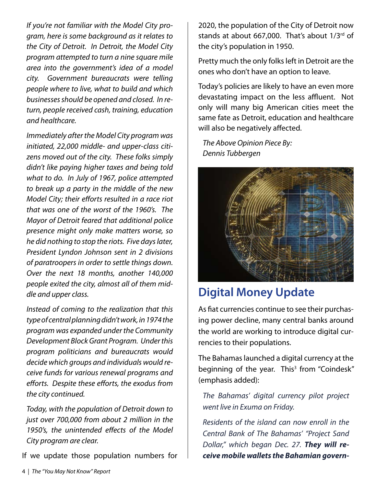*If you're not familiar with the Model City program, here is some background as it relates to the City of Detroit. In Detroit, the Model City program attempted to turn a nine square mile area into the government's idea of a model city. Government bureaucrats were telling people where to live, what to build and which businesses should be opened and closed. In return, people received cash, training, education and healthcare.*

*Immediately after the Model City program was initiated, 22,000 middle- and upper-class citizens moved out of the city. These folks simply didn't like paying higher taxes and being told what to do. In July of 1967, police attempted to break up a party in the middle of the new Model City; their efforts resulted in a race riot that was one of the worst of the 1960's. The Mayor of Detroit feared that additional police presence might only make matters worse, so he did nothing to stop the riots. Five days later, President Lyndon Johnson sent in 2 divisions of paratroopers in order to settle things down. Over the next 18 months, another 140,000 people exited the city, almost all of them middle and upper class.* 

*Instead of coming to the realization that this type of central planning didn't work, in 1974 the program was expanded under the Community Development Block Grant Program. Under this program politicians and bureaucrats would decide which groups and individuals would receive funds for various renewal programs and efforts. Despite these efforts, the exodus from the city continued.*

*Today, with the population of Detroit down to just over 700,000 from about 2 million in the 1950's, the unintended effects of the Model City program are clear.*

If we update those population numbers for

2020, the population of the City of Detroit now stands at about 667,000. That's about  $1/3<sup>rd</sup>$  of the city's population in 1950.

Pretty much the only folks left in Detroit are the ones who don't have an option to leave.

Today's policies are likely to have an even more devastating impact on the less affluent. Not only will many big American cities meet the same fate as Detroit, education and healthcare will also be negatively affected.

*The Above Opinion Piece By: Dennis Tubbergen*



## **Digital Money Update**

As fiat currencies continue to see their purchasing power decline, many central banks around the world are working to introduce digital currencies to their populations.

The Bahamas launched a digital currency at the beginning of the year. This<sup>3</sup> from "Coindesk" (emphasis added):

*The Bahamas' digital currency pilot project went live in Exuma on Friday.*

*Residents of the island can now enroll in the Central Bank of The Bahamas' "Project Sand Dollar," which began Dec. 27. They will receive mobile wallets the Bahamian govern-*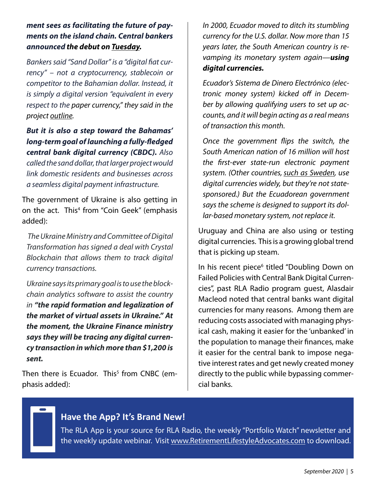#### *ment sees as facilitating the future of payments on the island chain. Central bankers announced the debut on Tuesday.*

*Bankers said "Sand Dollar" is a "digital fiat currency" – not a cryptocurrency, stablecoin or competitor to the Bahamian dollar. Instead, it is simply a digital version "equivalent in every respect to the paper currency," they said in the project outline.*

*But it is also a step toward the Bahamas' long-term goal of launching a fully-fledged central bank digital currency (CBDC). Also called the sand dollar, that larger project would link domestic residents and businesses across a seamless digital payment infrastructure.*

The government of Ukraine is also getting in on the act. This<sup>4</sup> from "Coin Geek" (emphasis added):

*The Ukraine Ministry and Committee of Digital Transformation has signed a deal with Crystal Blockchain that allows them to track digital currency transactions.*

*Ukraine says its primary goal is to use the blockchain analytics software to assist the country in "the rapid formation and legalization of the market of virtual assets in Ukraine." At the moment, the Ukraine Finance ministry says they will be tracing any digital currency transaction in which more than \$1,200 is sent.*

Then there is Ecuador. This<sup>5</sup> from CNBC (emphasis added):

*In 2000, Ecuador moved to ditch its stumbling currency for the U.S. dollar. Now more than 15 years later, the South American country is revamping its monetary system again—using digital currencies.*

*Ecuador's Sistema de Dinero Electrónico (electronic money system) kicked off in December by allowing qualifying users to set up accounts, and it will begin acting as a real means of transaction this month.*

*Once the government flips the switch, the South American nation of 16 million will host the first-ever state-run electronic payment*  system. (Other countries, such as Sweden, use *digital currencies widely, but they're not statesponsored.) But the Ecuadorean government says the scheme is designed to support its dollar-based monetary system, not replace it.*

Uruguay and China are also using or testing digital currencies. This is a growing global trend that is picking up steam.

In his recent piece<sup>6</sup> titled "Doubling Down on Failed Policies with Central Bank Digital Currencies", past RLA Radio program guest, Alasdair Macleod noted that central banks want digital currencies for many reasons. Among them are reducing costs associated with managing physical cash, making it easier for the 'unbanked' in the population to manage their finances, make it easier for the central bank to impose negative interest rates and get newly created money directly to the public while bypassing commercial banks.

#### **Have the App? It's Brand New!**

The RLA App is your source for RLA Radio, the weekly "Portfolio Watch" newsletter and the weekly update webinar. Visit www.RetirementLifestyleAdvocates.com to download.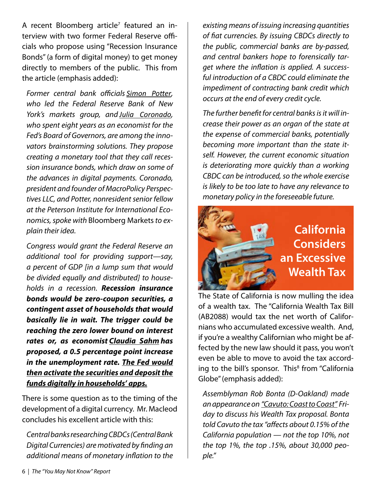A recent Bloomberg article<sup>7</sup> featured an interview with two former Federal Reserve officials who propose using "Recession Insurance Bonds" (a form of digital money) to get money directly to members of the public. This from the article (emphasis added):

*Former central bank officials Simon Potter, who led the Federal Reserve Bank of New York's markets group, and Julia Coronado, who spent eight years as an economist for the Fed's Board of Governors, are among the innovators brainstorming solutions. They propose creating a monetary tool that they call recession insurance bonds, which draw on some of the advances in digital payments. Coronado, president and founder of MacroPolicy Perspectives LLC, and Potter, nonresident senior fellow at the Peterson Institute for International Economics, spoke with* Bloomberg Markets*to explain their idea.*

*Congress would grant the Federal Reserve an additional tool for providing support—say, a percent of GDP [in a lump sum that would be divided equally and distributed] to households in a recession. Recession insurance bonds would be zero-coupon securities, a contingent asset of households that would basically lie in wait. The trigger could be reaching the zero lower bound on interest rates or, as economist Claudia Sahm has proposed, a 0.5 percentage point increase in the unemployment rate. The Fed would then activate the securities and deposit the funds digitally in households' apps.*

There is some question as to the timing of the development of a digital currency. Mr. Macleod concludes his excellent article with this:

*Central banks researching CBDCs (Central Bank Digital Currencies) are motivated by finding an additional means of monetary inflation to the* 

*existing means of issuing increasing quantities of fiat currencies. By issuing CBDCs directly to the public, commercial banks are by-passed, and central bankers hope to forensically target where the inflation is applied. A successful introduction of a CBDC could eliminate the impediment of contracting bank credit which occurs at the end of every credit cycle.*

*The further benefit for central banks is it will increase their power as an organ of the state at the expense of commercial banks, potentially becoming more important than the state itself. However, the current economic situation is deteriorating more quickly than a working CBDC can be introduced, so the whole exercise is likely to be too late to have any relevance to monetary policy in the foreseeable future.*



The State of California is now mulling the idea of a wealth tax. The "California Wealth Tax Bill (AB2088) would tax the net worth of Californians who accumulated excessive wealth. And, if you're a wealthy Californian who might be affected by the new law should it pass, you won't even be able to move to avoid the tax according to the bill's sponsor. This<sup>8</sup> from "California Globe" (emphasis added):

*Assemblyman Rob Bonta (D-Oakland) made an appearance on "Cavuto: Coast to Coast" Friday to discuss his Wealth Tax proposal. Bonta told Cavuto the tax "affects about 0.15% of the California population — not the top 10%, not the top 1%, the top .15%, about 30,000 people."*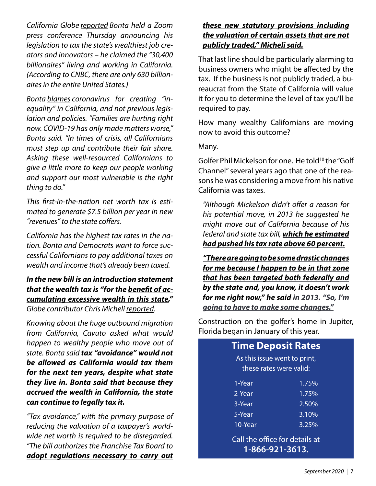*California Globe reported Bonta held a Zoom press conference Thursday announcing his legislation to tax the state's wealthiest job creators and innovators – he claimed the "30,400 billionaires" living and working in California. (According to CNBC, there are only 630 billionairesin the entire United States.)*

*Bonta blames coronavirus for creating "inequality" in California, and not previous legislation and policies. "Families are hurting right now. COVID-19 has only made matters worse," Bonta said. "In times of crisis, all Californians must step up and contribute their fair share. Asking these well-resourced Californians to give a little more to keep our people working and support our most vulnerable is the right thing to do."*

*This first-in-the-nation net worth tax is estimated to generate \$7.5 billion per year in new "revenues" to the state coffers.*

*California has the highest tax rates in the nation. Bonta and Democrats want to force successful Californians to pay additional taxes on wealth and income that's already been taxed.*

*In the new bill is an introduction statement that the wealth tax is "for the benefit of accumulating excessive wealth in this state," Globe contributor Chris Micheli reported.*

*Knowing about the huge outbound migration from California, Cavuto asked what would happen to wealthy people who move out of state. Bonta said tax "avoidance" would not be allowed as California would tax them for the next ten years, despite what state they live in. Bonta said that because they accrued the wealth in California, the state can continue to legally tax it.*

*"Tax avoidance," with the primary purpose of reducing the valuation of a taxpayer's worldwide net worth is required to be disregarded. "The bill authorizes the Franchise Tax Board to adopt regulations necessary to carry out*

#### *these new statutory provisions including the valuation of certain assets that are not publicly traded," Micheli said.*

That last line should be particularly alarming to business owners who might be affected by the tax. If the business is not publicly traded, a bureaucrat from the State of California will value it for you to determine the level of tax you'll be required to pay.

How many wealthy Californians are moving now to avoid this outcome?

Many.

Golfer Phil Mickelson for one. He told10 the "Golf Channel" several years ago that one of the reasons he was considering a move from his native California was taxes.

*"Although Mickelson didn't offer a reason for his potential move, in 2013 he suggested he might move out of California because of his federal and state tax bill, which he estimated had pushed his tax rate above 60 percent.*

*"There are going to be some drastic changes for me because I happen to be in that zone that has been targeted both federally and by the state and, you know, it doesn't work for me right now," he said in 2013. "So, I'm going to have to make some changes."*

Construction on the golfer's home in Jupiter, Florida began in January of this year.

#### **Time Deposit Rates**

As this issue went to print, these rates were valid:

| 1-Year  | 1.75% |
|---------|-------|
| 2-Year  | 1.75% |
| 3-Year  | 2.50% |
| 5-Year  | 3.10% |
| 10-Year | 3.25% |
|         |       |

Call the office for details at **1-866-921-3613.**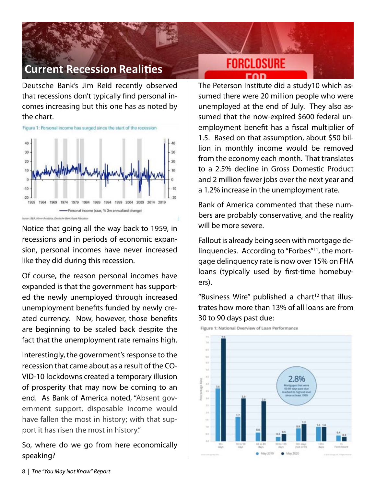## **Current Recession Realities**

Deutsche Bank's Jim Reid recently observed that recessions don't typically find personal incomes increasing but this one has as noted by the chart.



Notice that going all the way back to 1959, in recessions and in periods of economic expansion, personal incomes have never increased like they did during this recession.

Of course, the reason personal incomes have expanded is that the government has supported the newly unemployed through increased unemployment benefits funded by newly created currency. Now, however, those benefits are beginning to be scaled back despite the fact that the unemployment rate remains high.

Interestingly, the government's response to the recession that came about as a result of the CO-VID-10 lockdowns created a temporary illusion of prosperity that may now be coming to an end. As Bank of America noted, "Absent government support, disposable income would have fallen the most in history; with that support it has risen the most in history."

So, where do we go from here economically speaking?

# **FORCLOSURE**

The Peterson Institute did a study10 which assumed there were 20 million people who were unemployed at the end of July. They also assumed that the now-expired \$600 federal unemployment benefit has a fiscal multiplier of 1.5. Based on that assumption, about \$50 billion in monthly income would be removed from the economy each month. That translates to a 2.5% decline in Gross Domestic Product and 2 million fewer jobs over the next year and a 1.2% increase in the unemployment rate.

Bank of America commented that these numbers are probably conservative, and the reality will be more severe.

Fallout is already being seen with mortgage delinquencies. According to "Forbes"11, the mortgage delinquency rate is now over 15% on FHA loans (typically used by first-time homebuyers).

"Business Wire" published a chart<sup>12</sup> that illustrates how more than 13% of all loans are from 30 to 90 days past due:



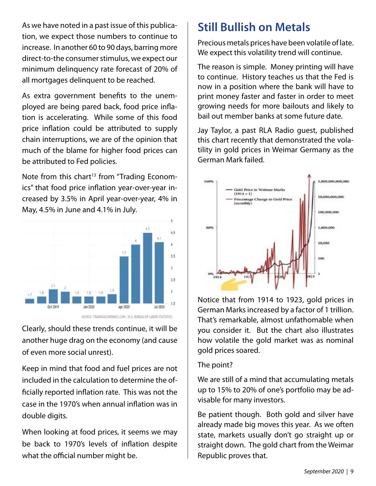As we have noted in a past issue of this publication, we expect those numbers to continue to increase. In another 60 to 90 days, barring more direct-to-the consumer stimulus, we expect our minimum delinquency rate forecast of 20% of all mortgages delinquent to be reached.

As extra government benefits to the unemployed are being pared back, food price inflation is accelerating. While some of this food price inflation could be attributed to supply chain interruptions, we are of the opinion that much of the blame for higher food prices can be attributed to Fed policies.

Note from this chart<sup>13</sup> from "Trading Economics" that food price inflation year-over-year increased by 3.5% in April year-over-year, 4% in May, 4.5% in June and 4.1% in July.





Clearly, should these trends continue, it will be another huge drag on the economy (and cause of even more social unrest).

Keep in mind that food and fuel prices are not included in the calculation to determine the officially reported inflation rate. This was not the case in the 1970's when annual inflation was in double digits.

When looking at food prices, it seems we may be back to 1970's levels of inflation despite what the official number might be.

## **Still Bullish on Metals**

Precious metals prices have been volatile of late. We expect this volatility trend will continue.

The reason is simple. Money printing will have to continue. History teaches us that the Fed is now in a position where the bank will have to print money faster and faster in order to meet growing needs for more bailouts and likely to bail out member banks at some future date.

Jay Taylor, a past RLA Radio guest, published this chart recently that demonstrated the volatility in gold prices in Weimar Germany as the German Mark failed.



Notice that from 1914 to 1923, gold prices in German Marks increased by a factor of 1 trillion. That's remarkable, almost unfathomable when you consider it. But the chart also illustrates how volatile the gold market was as nominal gold prices soared.

#### The point?

We are still of a mind that accumulating metals up to 15% to 20% of one's portfolio may be advisable for many investors.

Be patient though. Both gold and silver have already made big moves this year. As we often state, markets usually don't go straight up or straight down. The gold chart from the Weimar Republic proves that.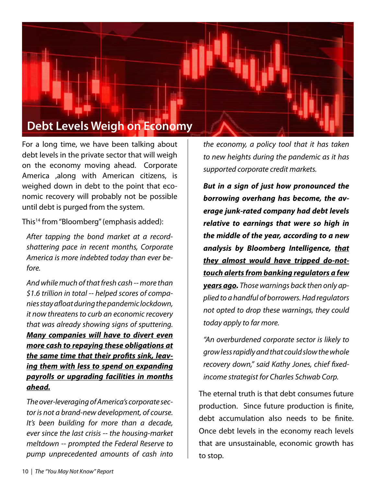

For a long time, we have been talking about debt levels in the private sector that will weigh on the economy moving ahead. Corporate America ,along with American citizens, is weighed down in debt to the point that economic recovery will probably not be possible until debt is purged from the system.

This<sup>14</sup> from "Bloomberg" (emphasis added):

*After tapping the bond market at a recordshattering pace in recent months, Corporate America is more indebted today than ever before.*

*And while much of that fresh cash -- more than \$1.6 trillion in total -- helped scores of companies stay afloat during the pandemic lockdown, it now threatens to curb an economic recovery that was already showing signs of sputtering. Many companies will have to divert even more cash to repaying these obligations at the same time that their profits sink, leaving them with less to spend on expanding payrolls or upgrading facilities in months ahead.*

*The over-leveraging of America's corporate sector is not a brand-new development, of course. It's been building for more than a decade, ever since the last crisis -- the housing-market meltdown -- prompted the Federal Reserve to pump unprecedented amounts of cash into* 

*the economy, a policy tool that it has taken to new heights during the pandemic as it has supported corporate credit markets.*

*But in a sign of just how pronounced the borrowing overhang has become, the average junk-rated company had debt levels relative to earnings that were so high in the middle of the year, according to a new analysis by Bloomberg Intelligence, that they almost would have tripped do-nottouch alerts from banking regulators a few years ago. Those warnings back then only applied to a handful of borrowers. Had regulators not opted to drop these warnings, they could today apply to far more.*

*"An overburdened corporate sector is likely to grow less rapidly and that could slow the whole recovery down," said Kathy Jones, chief fixedincome strategist for Charles Schwab Corp.*

The eternal truth is that debt consumes future production. Since future production is finite, debt accumulation also needs to be finite. Once debt levels in the economy reach levels that are unsustainable, economic growth has to stop.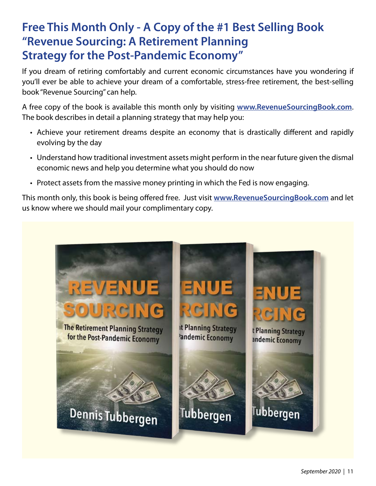## **Free This Month Only - A Copy of the #1 Best Selling Book "Revenue Sourcing: A Retirement Planning Strategy for the Post-Pandemic Economy"**

If you dream of retiring comfortably and current economic circumstances have you wondering if you'll ever be able to achieve your dream of a comfortable, stress-free retirement, the best-selling book "Revenue Sourcing" can help.

A free copy of the book is available this month only by visiting **www.RevenueSourcingBook.com**. The book describes in detail a planning strategy that may help you:

- Achieve your retirement dreams despite an economy that is drastically different and rapidly evolving by the day
- Understand how traditional investment assets might perform in the near future given the dismal economic news and help you determine what you should do now
- Protect assets from the massive money printing in which the Fed is now engaging.

This month only, this book is being offered free. Just visit **www.RevenueSourcingBook.com** and let us know where we should mail your complimentary copy.